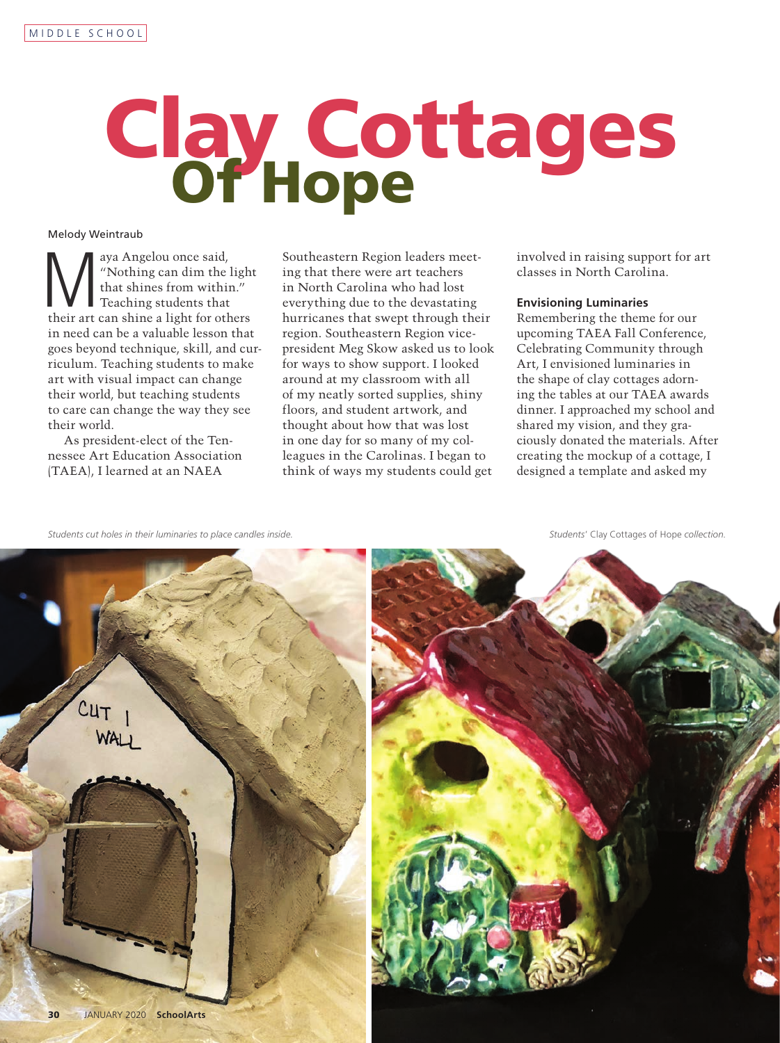# Clay Cottages

# Melody Weintraub

Waya Angelou once said,<br>
"Nothing can dim the light"<br>
that shines from within."<br>
Teaching students that<br>
their art can shine a light for others "Nothing can dim the light that shines from within." Teaching students that in need can be a valuable lesson that goes beyond technique, skill, and curriculum. Teaching students to make art with visual impact can change their world, but teaching students to care can change the way they see their world.

As president-elect of the Tennessee Art Education Association (TAEA), I learned at an NAEA

Southeastern Region leaders meeting that there were art teachers in North Carolina who had lost everything due to the devastating hurricanes that swept through their region. Southeastern Region vicepresident Meg Skow asked us to look for ways to show support. I looked around at my classroom with all of my neatly sorted supplies, shiny floors, and student artwork, and thought about how that was lost in one day for so many of my colleagues in the Carolinas. I began to think of ways my students could get

involved in raising support for art classes in North Carolina.

# **Envisioning Luminaries**

Remembering the theme for our upcoming TAEA Fall Conference, Celebrating Community through Art, I envisioned luminaries in the shape of clay cottages adorning the tables at our TAEA awards dinner. I approached my school and shared my vision, and they graciously donated the materials. After creating the mockup of a cottage, I designed a template and asked my

*Students cut holes in their luminaries to place candles inside. Students*' Clay Cottages of Hope *collection.*